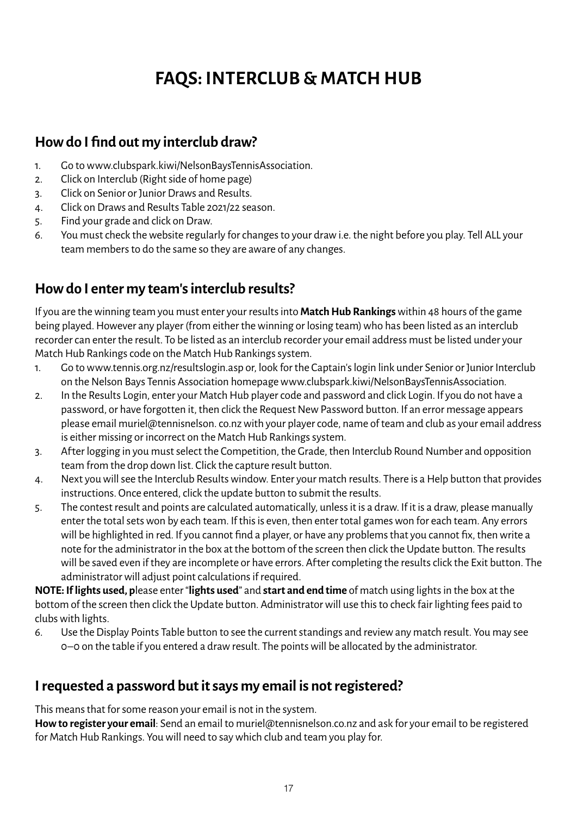# **FAQS: INTERCLUB & MATCH HUB**

#### **How do I find out my interclub draw?**

- 1. Go to www.clubspark.kiwi/NelsonBaysTennisAssociation.
- 2. Click on Interclub (Right side of home page)
- 3. Click on Senior or Junior Draws and Results.
- 4. Click on Draws and Results Table 2021/22 season.
- 5. Find your grade and click on Draw.
- 6. You must check the website regularly for changes to your draw i.e. the night before you play. Tell ALL your team members to do the same so they are aware of any changes.

## **How do I enter my team's interclub results?**

If you are the winning team you must enter your results into **Match Hub Rankings** within 48 hours of the game being played. However any player (from either the winning or losing team) who has been listed as an interclub recorder can enter the result. To be listed as an interclub recorder your email address must be listed under your Match Hub Rankings code on the Match Hub Rankings system.

- 1. Go to www.tennis.org.nz/resultslogin.asp or, look for the Captain's login link under Senior or Junior Interclub on the Nelson Bays Tennis Association homepage www.clubspark.kiwi/NelsonBaysTennisAssociation.
- 2. In the Results Login, enter your Match Hub player code and password and click Login. If you do not have a password, or have forgotten it, then click the Request New Password button. If an error message appears please email muriel@tennisnelson. co.nz with your player code, name of team and club as your email address is either missing or incorrect on the Match Hub Rankings system.
- 3. Af ter logging in you must select the Competition, the Grade, then Interclub Round Number and opposition team from the drop down list. Click the capture result button.
- 4. Next you will see the Interclub Results window. Enter your match results. There is a Help button that provides instructions. Once entered, click the update button to submit the results.
- 5. The contest result and points are calculated automatically, unless it is a draw. If it is a draw, please manually enter the total sets won by each team. If this is even, then enter total games won for each team. Any errors will be highlighted in red. If you cannot find a player, or have any problems that you cannot fix, then write a note for the administrator in the box at the bottom of the screen then click the Update button. The results will be saved even if they are incomplete or have errors. After completing the results click the Exit button. The administrator will adjust point calculations if required.

**NOTE: If lights used, p**lease enter "**lights used**" and **start and end time** of match using lights in the box at the bottom of the screen then click the Update button. Administrator will use this to check fair lighting fees paid to clubs with lights.

6. Use the Display Points Table button to see the current standings and review any match result. You may see 0–0 on the table if you entered a draw result. The points will be allocated by the administrator.

## **I requested a password but it says my email is not registered?**

This means that for some reason your email is not in the system.

**How to register your email**: Send an email to muriel@tennisnelson.co.nz and ask for your email to be registered for Match Hub Rankings. You will need to say which club and team you play for.